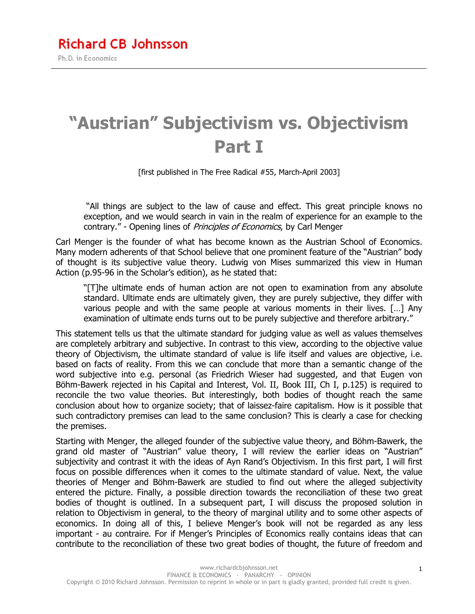# **"Austrian" Subjectivism vs. Objectivism Part I**

[first published in The Free Radical #55, March-April 2003]

 "All things are subject to the law of cause and effect. This great principle knows no exception, and we would search in vain in the realm of experience for an example to the contrary." - Opening lines of *Principles of Economics*, by Carl Menger

Carl Menger is the founder of what has become known as the Austrian School of Economics. Many modern adherents of that School believe that one prominent feature of the "Austrian" body of thought is its subjective value theory. Ludwig von Mises summarized this view in Human Action (p.95-96 in the Scholar's edition), as he stated that:

"[T]he ultimate ends of human action are not open to examination from any absolute standard. Ultimate ends are ultimately given, they are purely subjective, they differ with various people and with the same people at various moments in their lives. […] Any examination of ultimate ends turns out to be purely subjective and therefore arbitrary."

This statement tells us that the ultimate standard for judging value as well as values themselves are completely arbitrary and subjective. In contrast to this view, according to the objective value theory of Objectivism, the ultimate standard of value is life itself and values are objective, i.e. based on facts of reality. From this we can conclude that more than a semantic change of the word subjective into e.g. personal (as Friedrich Wieser had suggested, and that Eugen von Böhm-Bawerk rejected in his Capital and Interest, Vol. II, Book III, Ch I, p.125) is required to reconcile the two value theories. But interestingly, both bodies of thought reach the same conclusion about how to organize society; that of laissez-faire capitalism. How is it possible that such contradictory premises can lead to the same conclusion? This is clearly a case for checking the premises.

Starting with Menger, the alleged founder of the subjective value theory, and Böhm-Bawerk, the grand old master of "Austrian" value theory, I will review the earlier ideas on "Austrian" subjectivity and contrast it with the ideas of Ayn Rand's Objectivism. In this first part, I will first focus on possible differences when it comes to the ultimate standard of value. Next, the value theories of Menger and Böhm-Bawerk are studied to find out where the alleged subjectivity entered the picture. Finally, a possible direction towards the reconciliation of these two great bodies of thought is outlined. In a subsequent part, I will discuss the proposed solution in relation to Objectivism in general, to the theory of marginal utility and to some other aspects of economics. In doing all of this, I believe Menger's book will not be regarded as any less important - au contraire. For if Menger's Principles of Economics really contains ideas that can contribute to the reconciliation of these two great bodies of thought, the future of freedom and

1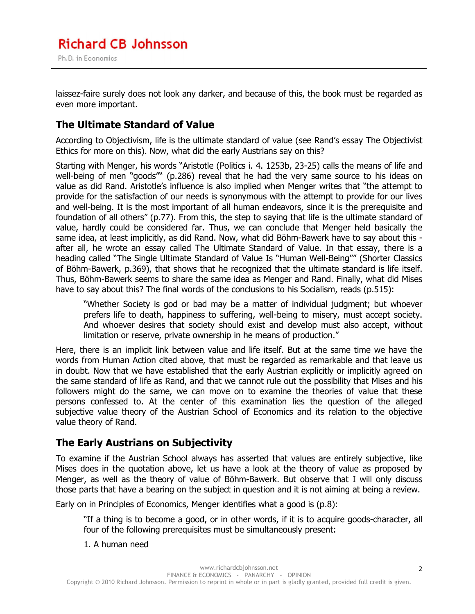laissez-faire surely does not look any darker, and because of this, the book must be regarded as even more important.

## **The Ultimate Standard of Value**

According to Objectivism, life is the ultimate standard of value (see Rand's essay The Objectivist Ethics for more on this). Now, what did the early Austrians say on this?

Starting with Menger, his words "Aristotle (Politics i. 4. 1253b, 23-25) calls the means of life and well-being of men "goods"" (p.286) reveal that he had the very same source to his ideas on value as did Rand. Aristotle's influence is also implied when Menger writes that "the attempt to provide for the satisfaction of our needs is synonymous with the attempt to provide for our lives and well-being. It is the most important of all human endeavors, since it is the prerequisite and foundation of all others" (p.77). From this, the step to saying that life is the ultimate standard of value, hardly could be considered far. Thus, we can conclude that Menger held basically the same idea, at least implicitly, as did Rand. Now, what did Böhm-Bawerk have to say about this after all, he wrote an essay called The Ultimate Standard of Value. In that essay, there is a heading called "The Single Ultimate Standard of Value Is "Human Well-Being"" (Shorter Classics of Böhm-Bawerk, p.369), that shows that he recognized that the ultimate standard is life itself. Thus, Böhm-Bawerk seems to share the same idea as Menger and Rand. Finally, what did Mises have to say about this? The final words of the conclusions to his Socialism, reads (p.515):

"Whether Society is god or bad may be a matter of individual judgment; but whoever prefers life to death, happiness to suffering, well-being to misery, must accept society. And whoever desires that society should exist and develop must also accept, without limitation or reserve, private ownership in he means of production."

Here, there is an implicit link between value and life itself. But at the same time we have the words from Human Action cited above, that must be regarded as remarkable and that leave us in doubt. Now that we have established that the early Austrian explicitly or implicitly agreed on the same standard of life as Rand, and that we cannot rule out the possibility that Mises and his followers might do the same, we can move on to examine the theories of value that these persons confessed to. At the center of this examination lies the question of the alleged subjective value theory of the Austrian School of Economics and its relation to the objective value theory of Rand.

## **The Early Austrians on Subjectivity**

To examine if the Austrian School always has asserted that values are entirely subjective, like Mises does in the quotation above, let us have a look at the theory of value as proposed by Menger, as well as the theory of value of Böhm-Bawerk. But observe that I will only discuss those parts that have a bearing on the subject in question and it is not aiming at being a review.

Early on in Principles of Economics, Menger identifies what a good is (p.8):

"If a thing is to become a good, or in other words, if it is to acquire goods-character, all four of the following prerequisites must be simultaneously present:

1. A human need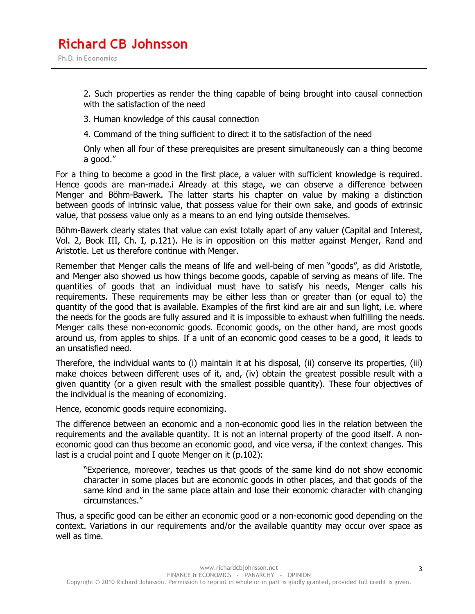2. Such properties as render the thing capable of being brought into causal connection with the satisfaction of the need

3. Human knowledge of this causal connection

4. Command of the thing sufficient to direct it to the satisfaction of the need

Only when all four of these prerequisites are present simultaneously can a thing become a good."

For a thing to become a good in the first place, a valuer with sufficient knowledge is required. Hence goods are man-made.i Already at this stage, we can observe a difference between Menger and Böhm-Bawerk. The latter starts his chapter on value by making a distinction between goods of intrinsic value, that possess value for their own sake, and goods of extrinsic value, that possess value only as a means to an end lying outside themselves.

Böhm-Bawerk clearly states that value can exist totally apart of any valuer (Capital and Interest, Vol. 2, Book III, Ch. I, p.121). He is in opposition on this matter against Menger, Rand and Aristotle. Let us therefore continue with Menger.

Remember that Menger calls the means of life and well-being of men "goods", as did Aristotle, and Menger also showed us how things become goods, capable of serving as means of life. The quantities of goods that an individual must have to satisfy his needs, Menger calls his requirements. These requirements may be either less than or greater than (or equal to) the quantity of the good that is available. Examples of the first kind are air and sun light, i.e. where the needs for the goods are fully assured and it is impossible to exhaust when fulfilling the needs. Menger calls these non-economic goods. Economic goods, on the other hand, are most goods around us, from apples to ships. If a unit of an economic good ceases to be a good, it leads to an unsatisfied need.

Therefore, the individual wants to (i) maintain it at his disposal, (ii) conserve its properties, (iii) make choices between different uses of it, and, (iv) obtain the greatest possible result with a given quantity (or a given result with the smallest possible quantity). These four objectives of the individual is the meaning of economizing.

Hence, economic goods require economizing.

The difference between an economic and a non-economic good lies in the relation between the requirements and the available quantity. It is not an internal property of the good itself. A noneconomic good can thus become an economic good, and vice versa, if the context changes. This last is a crucial point and I quote Menger on it (p.102):

"Experience, moreover, teaches us that goods of the same kind do not show economic character in some places but are economic goods in other places, and that goods of the same kind and in the same place attain and lose their economic character with changing circumstances."

Thus, a specific good can be either an economic good or a non-economic good depending on the context. Variations in our requirements and/or the available quantity may occur over space as well as time.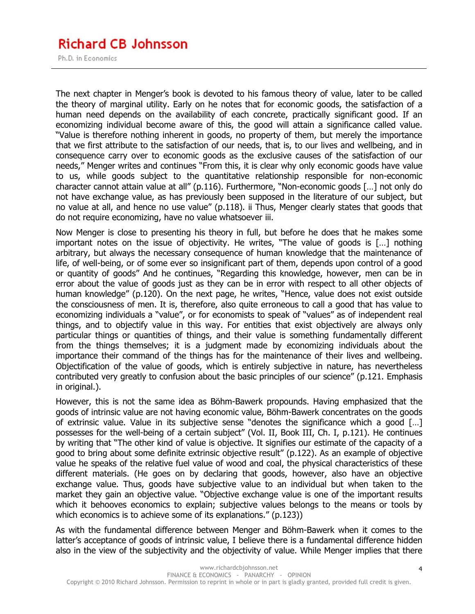## **Richard CB Johnsson**

Ph.D. in Economics

The next chapter in Menger's book is devoted to his famous theory of value, later to be called the theory of marginal utility. Early on he notes that for economic goods, the satisfaction of a human need depends on the availability of each concrete, practically significant good. If an economizing individual become aware of this, the good will attain a significance called value. "Value is therefore nothing inherent in goods, no property of them, but merely the importance that we first attribute to the satisfaction of our needs, that is, to our lives and wellbeing, and in consequence carry over to economic goods as the exclusive causes of the satisfaction of our needs," Menger writes and continues "From this, it is clear why only economic goods have value to us, while goods subject to the quantitative relationship responsible for non-economic character cannot attain value at all" (p.116). Furthermore, "Non-economic goods […] not only do not have exchange value, as has previously been supposed in the literature of our subject, but no value at all, and hence no use value" (p.118). ii Thus, Menger clearly states that goods that do not require economizing, have no value whatsoever iii.

Now Menger is close to presenting his theory in full, but before he does that he makes some important notes on the issue of objectivity. He writes, "The value of goods is […] nothing arbitrary, but always the necessary consequence of human knowledge that the maintenance of life, of well-being, or of some ever so insignificant part of them, depends upon control of a good or quantity of goods" And he continues, "Regarding this knowledge, however, men can be in error about the value of goods just as they can be in error with respect to all other objects of human knowledge" (p.120). On the next page, he writes, "Hence, value does not exist outside the consciousness of men. It is, therefore, also quite erroneous to call a good that has value to economizing individuals a "value", or for economists to speak of "values" as of independent real things, and to objectify value in this way. For entities that exist objectively are always only particular things or quantities of things, and their value is something fundamentally different from the things themselves; it is a judgment made by economizing individuals about the importance their command of the things has for the maintenance of their lives and wellbeing. Objectification of the value of goods, which is entirely subjective in nature, has nevertheless contributed very greatly to confusion about the basic principles of our science" (p.121. Emphasis in original.).

However, this is not the same idea as Böhm-Bawerk propounds. Having emphasized that the goods of intrinsic value are not having economic value, Böhm-Bawerk concentrates on the goods of extrinsic value. Value in its subjective sense "denotes the significance which a good […] possesses for the well-being of a certain subject" (Vol. II, Book III, Ch. I, p.121). He continues by writing that "The other kind of value is objective. It signifies our estimate of the capacity of a good to bring about some definite extrinsic objective result" (p.122). As an example of objective value he speaks of the relative fuel value of wood and coal, the physical characteristics of these different materials. (He goes on by declaring that goods, however, also have an objective exchange value. Thus, goods have subjective value to an individual but when taken to the market they gain an objective value. "Objective exchange value is one of the important results which it behooves economics to explain; subjective values belongs to the means or tools by which economics is to achieve some of its explanations." (p.123))

As with the fundamental difference between Menger and Böhm-Bawerk when it comes to the latter's acceptance of goods of intrinsic value, I believe there is a fundamental difference hidden also in the view of the subjectivity and the objectivity of value. While Menger implies that there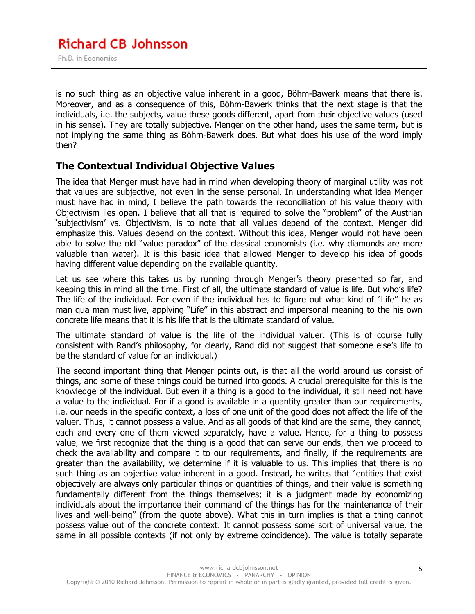is no such thing as an objective value inherent in a good, Böhm-Bawerk means that there is. Moreover, and as a consequence of this, Böhm-Bawerk thinks that the next stage is that the individuals, i.e. the subjects, value these goods different, apart from their objective values (used in his sense). They are totally subjective. Menger on the other hand, uses the same term, but is not implying the same thing as Böhm-Bawerk does. But what does his use of the word imply then?

## **The Contextual Individual Objective Values**

The idea that Menger must have had in mind when developing theory of marginal utility was not that values are subjective, not even in the sense personal. In understanding what idea Menger must have had in mind, I believe the path towards the reconciliation of his value theory with Objectivism lies open. I believe that all that is required to solve the "problem" of the Austrian 'subjectivism' vs. Objectivism, is to note that all values depend of the context. Menger did emphasize this. Values depend on the context. Without this idea, Menger would not have been able to solve the old "value paradox" of the classical economists (i.e. why diamonds are more valuable than water). It is this basic idea that allowed Menger to develop his idea of goods having different value depending on the available quantity.

Let us see where this takes us by running through Menger's theory presented so far, and keeping this in mind all the time. First of all, the ultimate standard of value is life. But who's life? The life of the individual. For even if the individual has to figure out what kind of "Life" he as man qua man must live, applying "Life" in this abstract and impersonal meaning to the his own concrete life means that it is his life that is the ultimate standard of value.

The ultimate standard of value is the life of the individual valuer. (This is of course fully consistent with Rand's philosophy, for clearly, Rand did not suggest that someone else's life to be the standard of value for an individual.)

The second important thing that Menger points out, is that all the world around us consist of things, and some of these things could be turned into goods. A crucial prerequisite for this is the knowledge of the individual. But even if a thing is a good to the individual, it still need not have a value to the individual. For if a good is available in a quantity greater than our requirements, i.e. our needs in the specific context, a loss of one unit of the good does not affect the life of the valuer. Thus, it cannot possess a value. And as all goods of that kind are the same, they cannot, each and every one of them viewed separately, have a value. Hence, for a thing to possess value, we first recognize that the thing is a good that can serve our ends, then we proceed to check the availability and compare it to our requirements, and finally, if the requirements are greater than the availability, we determine if it is valuable to us. This implies that there is no such thing as an objective value inherent in a good. Instead, he writes that "entities that exist objectively are always only particular things or quantities of things, and their value is something fundamentally different from the things themselves; it is a judgment made by economizing individuals about the importance their command of the things has for the maintenance of their lives and well-being" (from the quote above). What this in turn implies is that a thing cannot possess value out of the concrete context. It cannot possess some sort of universal value, the same in all possible contexts (if not only by extreme coincidence). The value is totally separate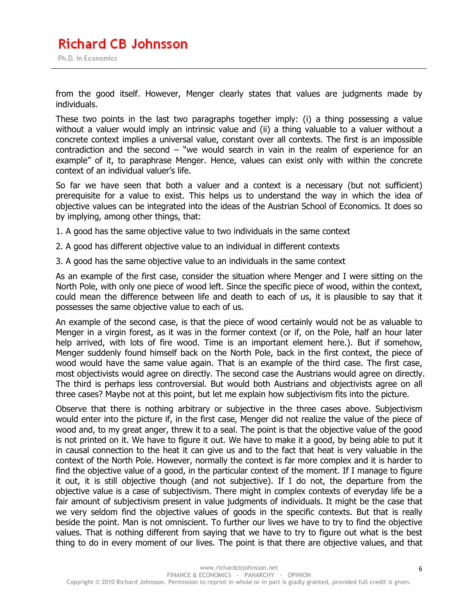from the good itself. However, Menger clearly states that values are judgments made by individuals.

These two points in the last two paragraphs together imply: (i) a thing possessing a value without a valuer would imply an intrinsic value and (ii) a thing valuable to a valuer without a concrete context implies a universal value, constant over all contexts. The first is an impossible contradiction and the second – "we would search in vain in the realm of experience for an example" of it, to paraphrase Menger. Hence, values can exist only with within the concrete context of an individual valuer's life.

So far we have seen that both a valuer and a context is a necessary (but not sufficient) prerequisite for a value to exist. This helps us to understand the way in which the idea of objective values can be integrated into the ideas of the Austrian School of Economics. It does so by implying, among other things, that:

- 1. A good has the same objective value to two individuals in the same context
- 2. A good has different objective value to an individual in different contexts
- 3. A good has the same objective value to an individuals in the same context

As an example of the first case, consider the situation where Menger and I were sitting on the North Pole, with only one piece of wood left. Since the specific piece of wood, within the context, could mean the difference between life and death to each of us, it is plausible to say that it possesses the same objective value to each of us.

An example of the second case, is that the piece of wood certainly would not be as valuable to Menger in a virgin forest, as it was in the former context (or if, on the Pole, half an hour later help arrived, with lots of fire wood. Time is an important element here.). But if somehow, Menger suddenly found himself back on the North Pole, back in the first context, the piece of wood would have the same value again. That is an example of the third case. The first case, most objectivists would agree on directly. The second case the Austrians would agree on directly. The third is perhaps less controversial. But would both Austrians and objectivists agree on all three cases? Maybe not at this point, but let me explain how subjectivism fits into the picture.

Observe that there is nothing arbitrary or subjective in the three cases above. Subjectivism would enter into the picture if, in the first case, Menger did not realize the value of the piece of wood and, to my great anger, threw it to a seal. The point is that the objective value of the good is not printed on it. We have to figure it out. We have to make it a good, by being able to put it in causal connection to the heat it can give us and to the fact that heat is very valuable in the context of the North Pole. However, normally the context is far more complex and it is harder to find the objective value of a good, in the particular context of the moment. If I manage to figure it out, it is still objective though (and not subjective). If I do not, the departure from the objective value is a case of subjectivism. There might in complex contexts of everyday life be a fair amount of subjectivism present in value judgments of individuals. It might be the case that we very seldom find the objective values of goods in the specific contexts. But that is really beside the point. Man is not omniscient. To further our lives we have to try to find the objective values. That is nothing different from saying that we have to try to figure out what is the best thing to do in every moment of our lives. The point is that there are objective values, and that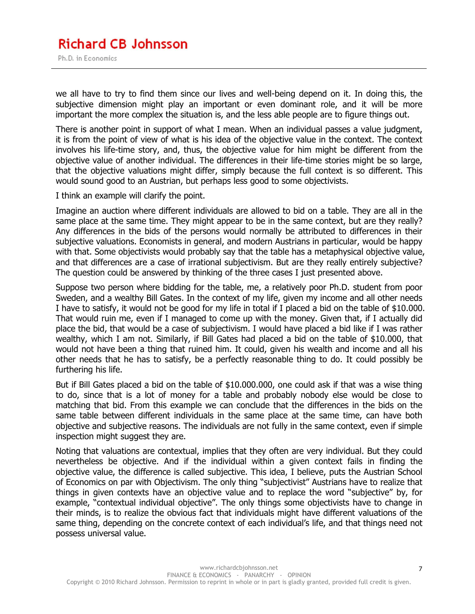we all have to try to find them since our lives and well-being depend on it. In doing this, the subjective dimension might play an important or even dominant role, and it will be more important the more complex the situation is, and the less able people are to figure things out.

There is another point in support of what I mean. When an individual passes a value judgment, it is from the point of view of what is his idea of the objective value in the context. The context involves his life-time story, and, thus, the objective value for him might be different from the objective value of another individual. The differences in their life-time stories might be so large, that the objective valuations might differ, simply because the full context is so different. This would sound good to an Austrian, but perhaps less good to some objectivists.

I think an example will clarify the point.

Imagine an auction where different individuals are allowed to bid on a table. They are all in the same place at the same time. They might appear to be in the same context, but are they really? Any differences in the bids of the persons would normally be attributed to differences in their subjective valuations. Economists in general, and modern Austrians in particular, would be happy with that. Some objectivists would probably say that the table has a metaphysical objective value, and that differences are a case of irrational subjectivism. But are they really entirely subjective? The question could be answered by thinking of the three cases I just presented above.

Suppose two person where bidding for the table, me, a relatively poor Ph.D. student from poor Sweden, and a wealthy Bill Gates. In the context of my life, given my income and all other needs I have to satisfy, it would not be good for my life in total if I placed a bid on the table of \$10.000. That would ruin me, even if I managed to come up with the money. Given that, if I actually did place the bid, that would be a case of subjectivism. I would have placed a bid like if I was rather wealthy, which I am not. Similarly, if Bill Gates had placed a bid on the table of \$10.000, that would not have been a thing that ruined him. It could, given his wealth and income and all his other needs that he has to satisfy, be a perfectly reasonable thing to do. It could possibly be furthering his life.

But if Bill Gates placed a bid on the table of \$10.000.000, one could ask if that was a wise thing to do, since that is a lot of money for a table and probably nobody else would be close to matching that bid. From this example we can conclude that the differences in the bids on the same table between different individuals in the same place at the same time, can have both objective and subjective reasons. The individuals are not fully in the same context, even if simple inspection might suggest they are.

Noting that valuations are contextual, implies that they often are very individual. But they could nevertheless be objective. And if the individual within a given context fails in finding the objective value, the difference is called subjective. This idea, I believe, puts the Austrian School of Economics on par with Objectivism. The only thing "subjectivist" Austrians have to realize that things in given contexts have an objective value and to replace the word "subjective" by, for example, "contextual individual objective". The only things some objectivists have to change in their minds, is to realize the obvious fact that individuals might have different valuations of the same thing, depending on the concrete context of each individual's life, and that things need not possess universal value.